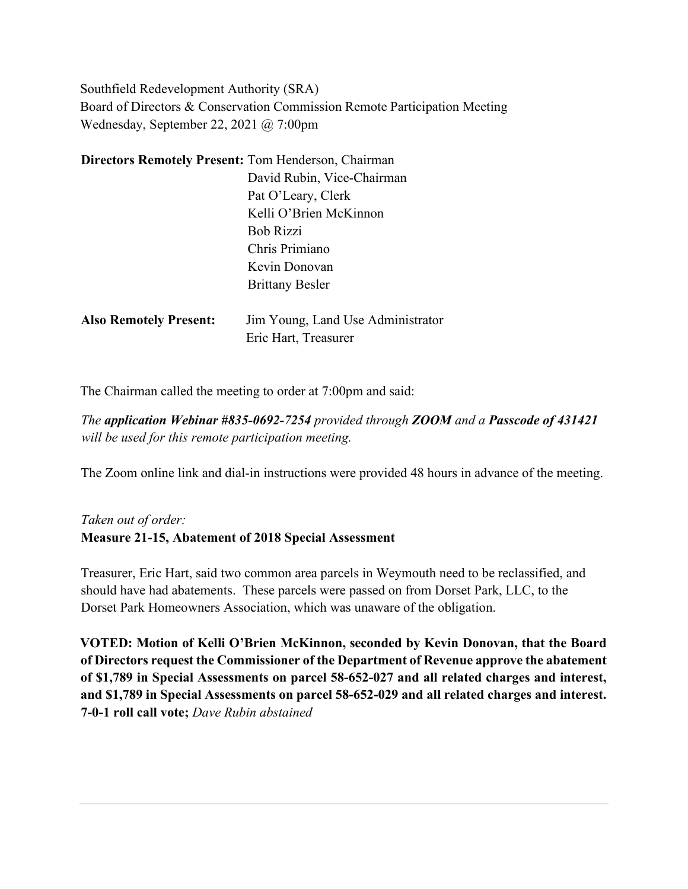Southfield Redevelopment Authority (SRA) Board of Directors & Conservation Commission Remote Participation Meeting Wednesday, September 22, 2021 @ 7:00pm

| <b>Directors Remotely Present: Tom Henderson, Chairman</b> |
|------------------------------------------------------------|
| David Rubin, Vice-Chairman                                 |
| Pat O'Leary, Clerk                                         |
| Kelli O'Brien McKinnon                                     |
| Bob Rizzi                                                  |
| Chris Primiano                                             |
| Kevin Donovan                                              |
| <b>Brittany Besler</b>                                     |
| Jim Young, Land Use Administrator<br>Eric Hart, Treasurer  |
|                                                            |

The Chairman called the meeting to order at 7:00pm and said:

*The application Webinar #835-0692-7254 provided through ZOOM and a Passcode of 431421 will be used for this remote participation meeting.*

The Zoom online link and dial-in instructions were provided 48 hours in advance of the meeting.

# *Taken out of order:* **Measure 21-15, Abatement of 2018 Special Assessment**

Treasurer, Eric Hart, said two common area parcels in Weymouth need to be reclassified, and should have had abatements. These parcels were passed on from Dorset Park, LLC, to the Dorset Park Homeowners Association, which was unaware of the obligation.

**VOTED: Motion of Kelli O'Brien McKinnon, seconded by Kevin Donovan, that the Board of Directors request the Commissioner of the Department of Revenue approve the abatement of \$1,789 in Special Assessments on parcel 58-652-027 and all related charges and interest, and \$1,789 in Special Assessments on parcel 58-652-029 and all related charges and interest. 7-0-1 roll call vote;** *Dave Rubin abstained*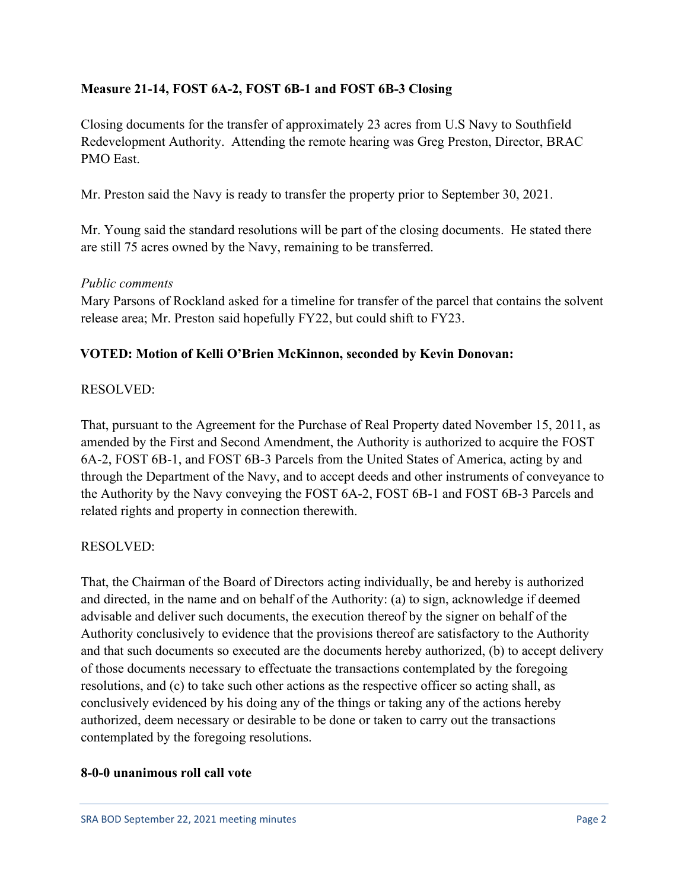## **Measure 21-14, FOST 6A-2, FOST 6B-1 and FOST 6B-3 Closing**

Closing documents for the transfer of approximately 23 acres from U.S Navy to Southfield Redevelopment Authority. Attending the remote hearing was Greg Preston, Director, BRAC PMO East.

Mr. Preston said the Navy is ready to transfer the property prior to September 30, 2021.

Mr. Young said the standard resolutions will be part of the closing documents. He stated there are still 75 acres owned by the Navy, remaining to be transferred.

#### *Public comments*

Mary Parsons of Rockland asked for a timeline for transfer of the parcel that contains the solvent release area; Mr. Preston said hopefully FY22, but could shift to FY23.

## **VOTED: Motion of Kelli O'Brien McKinnon, seconded by Kevin Donovan:**

#### RESOLVED:

That, pursuant to the Agreement for the Purchase of Real Property dated November 15, 2011, as amended by the First and Second Amendment, the Authority is authorized to acquire the FOST 6A-2, FOST 6B-1, and FOST 6B-3 Parcels from the United States of America, acting by and through the Department of the Navy, and to accept deeds and other instruments of conveyance to the Authority by the Navy conveying the FOST 6A-2, FOST 6B-1 and FOST 6B-3 Parcels and related rights and property in connection therewith.

## RESOLVED:

That, the Chairman of the Board of Directors acting individually, be and hereby is authorized and directed, in the name and on behalf of the Authority: (a) to sign, acknowledge if deemed advisable and deliver such documents, the execution thereof by the signer on behalf of the Authority conclusively to evidence that the provisions thereof are satisfactory to the Authority and that such documents so executed are the documents hereby authorized, (b) to accept delivery of those documents necessary to effectuate the transactions contemplated by the foregoing resolutions, and (c) to take such other actions as the respective officer so acting shall, as conclusively evidenced by his doing any of the things or taking any of the actions hereby authorized, deem necessary or desirable to be done or taken to carry out the transactions contemplated by the foregoing resolutions.

#### **8-0-0 unanimous roll call vote**